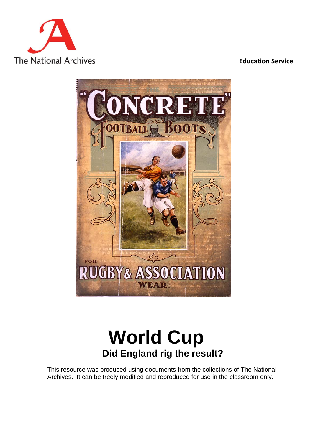

#### **Education Service**



# **World Cup Did England rig the result?**

This resource was produced using documents from the collections of The National Archives. It can be freely modified and reproduced for use in the classroom only.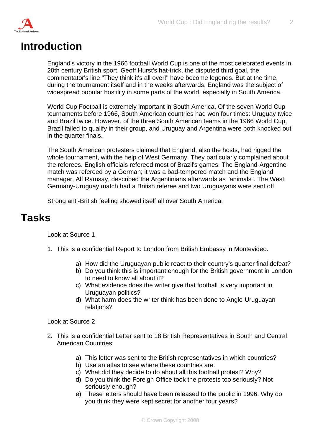

### **Introduction**

England's victory in the 1966 football World Cup is one of the most celebrated events in 20th century British sport. Geoff Hurst's hat-trick, the disputed third goal, the commentator's line "They think it's all over!" have become legends. But at the time, during the tournament itself and in the weeks afterwards, England was the subject of widespread popular hostility in some parts of the world, especially in South America.

World Cup Football is extremely important in South America. Of the seven World Cup tournaments before 1966, South American countries had won four times: Uruguay twice and Brazil twice. However, of the three South American teams in the 1966 World Cup, Brazil failed to qualify in their group, and Uruguay and Argentina were both knocked out in the quarter finals.

The South American protesters claimed that England, also the hosts, had rigged the whole tournament, with the help of West Germany. They particularly complained about the referees. English officials refereed most of Brazil's games. The England-Argentine match was refereed by a German; it was a bad-tempered match and the England manager, Alf Ramsay, described the Argentinians afterwards as "animals". The West Germany-Uruguay match had a British referee and two Uruguayans were sent off.

Strong anti-British feeling showed itself all over South America.

### **Tasks**

Look at Source 1

- 1. This is a confidential Report to London from British Embassy in Montevideo.
	- a) How did the Uruguayan public react to their country's quarter final defeat?
	- b) Do you think this is important enough for the British government in London to need to know all about it?
	- c) What evidence does the writer give that football is very important in Uruguayan politics?
	- d) What harm does the writer think has been done to Anglo-Uruguayan relations?

Look at Source 2

- 2. This is a confidential Letter sent to 18 British Representatives in South and Central American Countries:
	- a) This letter was sent to the British representatives in which countries?
	- b) Use an atlas to see where these countries are.
	- c) What did they decide to do about all this football protest? Why?
	- d) Do you think the Foreign Office took the protests too seriously? Not seriously enough?
	- e) These letters should have been released to the public in 1996. Why do you think they were kept secret for another four years?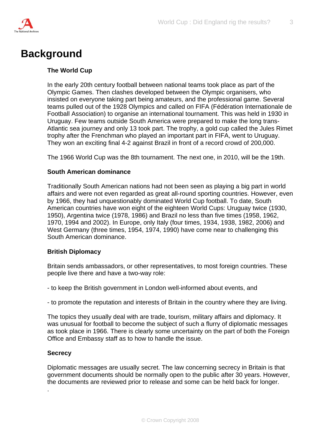

# **Background**

#### **The World Cup**

In the early 20th century football between national teams took place as part of the Olympic Games. Then clashes developed between the Olympic organisers, who insisted on everyone taking part being amateurs, and the professional game. Several teams pulled out of the 1928 Olympics and called on FIFA (Fédération Internationale de Football Association) to organise an international tournament. This was held in 1930 in Uruguay. Few teams outside South America were prepared to make the long trans-Atlantic sea journey and only 13 took part. The trophy, a gold cup called the Jules Rimet trophy after the Frenchman who played an important part in FIFA, went to Uruguay. They won an exciting final 4-2 against Brazil in front of a record crowd of 200,000.

The 1966 World Cup was the 8th tournament. The next one, in 2010, will be the 19th.

#### **South American dominance**

Traditionally South American nations had not been seen as playing a big part in world affairs and were not even regarded as great all-round sporting countries. However, even by 1966, they had unquestionably dominated World Cup football. To date, South American countries have won eight of the eighteen World Cups: Uruguay twice (1930, 1950), Argentina twice (1978, 1986) and Brazil no less than five times (1958, 1962, 1970, 1994 and 2002). In Europe, only Italy (four times, 1934, 1938, 1982, 2006) and West Germany (three times, 1954, 1974, 1990) have come near to challenging this South American dominance.

#### **British Diplomacy**

Britain sends ambassadors, or other representatives, to most foreign countries. These people live there and have a two-way role:

- to keep the British government in London well-informed about events, and

- to promote the reputation and interests of Britain in the country where they are living.

The topics they usually deal with are trade, tourism, military affairs and diplomacy. It was unusual for football to become the subject of such a flurry of diplomatic messages as took place in 1966. There is clearly some uncertainty on the part of both the Foreign Office and Embassy staff as to how to handle the issue.

#### **Secrecy**

.

Diplomatic messages are usually secret. The law concerning secrecy in Britain is that government documents should be normally open to the public after 30 years. However, the documents are reviewed prior to release and some can be held back for longer.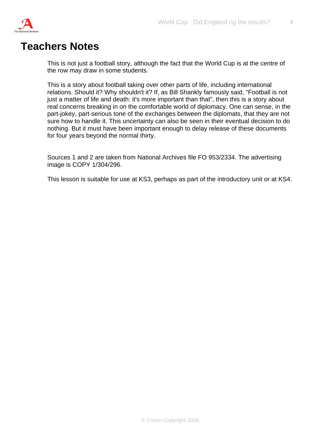

### **Teachers Notes**

This is not just a football story, although the fact that the World Cup is at the centre of the row may draw in some students.

This is a story about football taking over other parts of life, including international relations. Should it? Why shouldn't it? If, as Bill Shankly famously said, "Football is not just a matter of life and death: it's more important than that", then this is a story about real concerns breaking in on the comfortable world of diplomacy. One can sense, in the part-jokey, part-serious tone of the exchanges between the diplomats, that they are not sure how to handle it. This uncertainty can also be seen in their eventual decision to do nothing. But it must have been important enough to delay release of these documents for four years beyond the normal thirty.

Sources 1 and 2 are taken from National Archives file FO 953/2334. The advertising image is COPY 1/304/296.

This lesson is suitable for use at KS3, perhaps as part of the introductory unit or at KS4.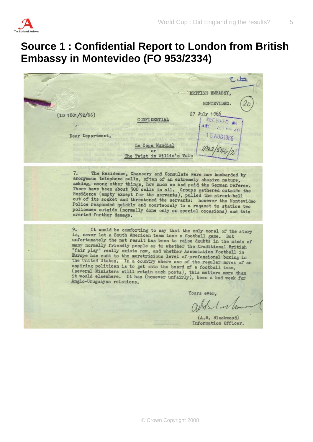

# **Source 1 : Confidential Report to London from British Embassy in Montevideo (FO 953/2334)**

 $8.12$ BRITISH EMBASSY. MONTEVIDEO. 27 July 1966  $(ID 1801/92/66)$ RECEIVED W C ONFI DENTIAL ARC SVES FOR 46 15 AUG 1966 Dear Department, La Copa Mundial or in Willie's Tale Twist The Residence, Chancery and Consulate were now bombarded by  $7.$ anonymous telephone calls, often of an extremely abusive nature, asking, among other things, how much we had paid the German referee. example, along other things, how much we had paid the German referee.<br>There have been about 300 calls in all. Groups gathered outside the<br>Residence (empty except for the servants), pulled the street-bell<br>out of its socket Police responded quickly and courteously to a request to station two policemen outside (normally done only on special occasions) and this averted further damage. It would be comforting to say that the only moral of the story is, never let a South American team lose a football game. But unfortunately the net result has been to raise doubts in the minds of many normally friendly people as to whether the traditional British "fair play" really exists now, and whether Association Football in<br>Europe has sunk to the meretricious level of professional boxing in<br>the United States. The meretricious level of professional boxing in the United States. In a country where one of the regular moves of an aspiring politican is to get onto the board of a football team, (several Ministers still retain such posts), this matters more than it would elsewhere. It has (however unfairly), been a bad week for Anglo-Uruguayan relations. Yours ever.  $(A, B, B)$ ackwood) Information Officer.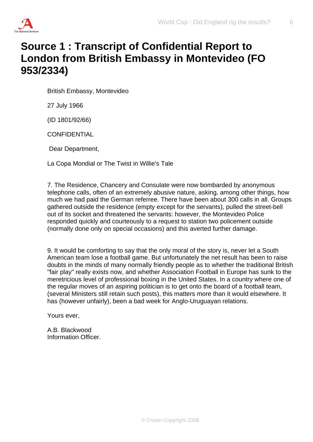

# **Source 1 : Transcript of Confidential Report to London from British Embassy in Montevideo (FO 953/2334)**

British Embassy, Montevideo

27 July 1966

(ID 1801/92/66)

**CONFIDENTIAL** 

Dear Department,

La Copa Mondial or The Twist in Willie's Tale

7. The Residence, Chancery and Consulate were now bombarded by anonymous telephone calls, often of an extremely abusive nature, asking, among other things, how much we had paid the German referree. There have been about 300 calls in all. Groups gathered outside the residence (empty except for the servants), pulled the street-bell out of its socket and threatened the servants: however, the Montevideo Police responded quickly and courteously to a request to station two policement outside (normally done only on special occasions) and this averted further damage.

9. It would be comforting to say that the only moral of the story is, never let a South American team lose a football game. But unfortunately the net result has been to raise doubts in the minds of many normally friendly people as to whether the traditional British "fair play" really exists now, and whether Association Football in Europe has sunk to the meretricious level of professional boxing in the United States. In a country where one of the regular moves of an aspiring politician is to get onto the board of a football team, (several Ministers still retain such posts), this matters more than it would elsewhere. It has (however unfairly), been a bad week for Anglo-Uruguayan relations.

Yours ever,

A.B. Blackwood Information Officer.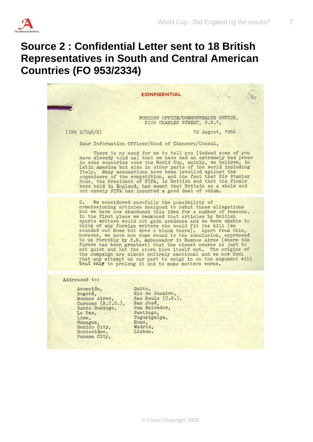

### **Source 2 : Confidential Letter sent to 18 British Representatives in South and Central American Countries (FO 953/2334)**



Asunción, Bogotá, Buenos Aires,

Caracas (R.I.O.), Santo Domingo, La Paz, Lima, Managua, Mexico City, Montevideo, Panama City,

Quito, Rio de Janeiro. Sao Paulo (C.G.), San José, San Salvador, Santiago, Tegucigalpa, Rome, Madrid, Lisbon.